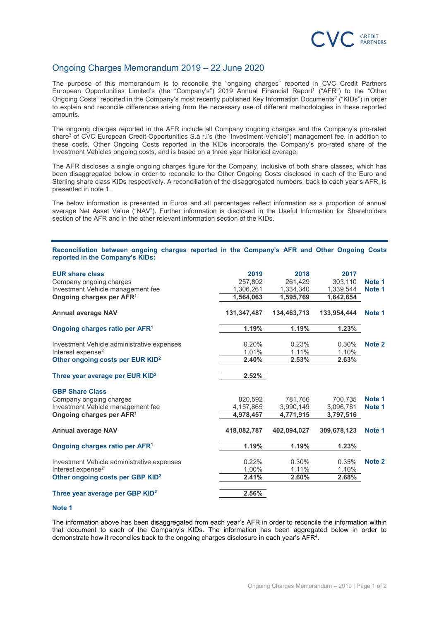

# Ongoing Charges Memorandum 2019 – 22 June 2020

The purpose of this memorandum is to reconcile the "ongoing charges" reported in CVC Credit Partners European Opportunities Limited's (the "Company's") 2019 Annual Financial Report<sup>1</sup> ("AFR") to the "Other Ongoing Costs" reported in the Company's most recently published Key Information Documents<sup>2</sup> ("KIDs") in order to explain and reconcile differences arising from the necessary use of different methodologies in these reported amounts.

The ongoing charges reported in the AFR include all Company ongoing charges and the Company's pro-rated share<sup>3</sup> of CVC European Credit Opportunities S.à r.l's (the "Investment Vehicle") management fee. In addition to these costs, Other Ongoing Costs reported in the KIDs incorporate the Company's pro-rated share of the Investment Vehicles ongoing costs, and is based on a three year historical average.

The AFR discloses a single ongoing charges figure for the Company, inclusive of both share classes, which has been disaggregated below in order to reconcile to the Other Ongoing Costs disclosed in each of the Euro and Sterling share class KIDs respectively. A reconciliation of the disaggregated numbers, back to each year's AFR, is presented in note 1.

The below information is presented in Euros and all percentages reflect information as a proportion of annual average Net Asset Value ("NAV"). Further information is disclosed in the Useful Information for Shareholders section of the AFR and in the other relevant information section of the KIDs.

### Reconciliation between ongoing charges reported in the Company's AFR and Other Ongoing Costs reported in the Company's KIDs:

| <b>EUR share class</b><br>Company ongoing charges<br>Investment Vehicle management fee<br>Ongoing charges per AFR <sup>1</sup> | 2019<br>257,802<br>1,306,261<br>1,564,063 | 2018<br>261,429<br>1,334,340<br>1,595,769 | 2017<br>303.110<br>1,339,544<br>1,642,654 | Note 1<br>Note 1  |
|--------------------------------------------------------------------------------------------------------------------------------|-------------------------------------------|-------------------------------------------|-------------------------------------------|-------------------|
| <b>Annual average NAV</b>                                                                                                      | 131,347,487                               | 134,463,713                               | 133.954.444                               | Note 1            |
| Ongoing charges ratio per AFR <sup>1</sup>                                                                                     | 1.19%                                     | 1.19%                                     | 1.23%                                     |                   |
| Investment Vehicle administrative expenses<br>Interest expense <sup>2</sup><br>Other ongoing costs per EUR KID <sup>2</sup>    | 0.20%<br>1.01%<br>2.40%                   | 0.23%<br>1.11%<br>2.53%                   | 0.30%<br>1.10%<br>2.63%                   | Note 2            |
| Three year average per EUR KID <sup>2</sup>                                                                                    | 2.52%                                     |                                           |                                           |                   |
| <b>GBP Share Class</b>                                                                                                         | 820.592                                   | 781.766                                   | 700.735                                   | Note <sub>1</sub> |
| Company ongoing charges<br>Investment Vehicle management fee                                                                   | 4,157,865                                 | 3,990,149                                 | 3,096,781                                 | Note 1            |
| Ongoing charges per AFR <sup>1</sup>                                                                                           | 4,978,457                                 | 4,771,915                                 | 3,797,516                                 |                   |
| <b>Annual average NAV</b>                                                                                                      | 418.082.787                               | 402.094.027                               | 309.678.123                               | Note 1            |
| Ongoing charges ratio per AFR <sup>1</sup>                                                                                     | 1.19%                                     | 1.19%                                     | 1.23%                                     |                   |
| Investment Vehicle administrative expenses<br>Interest expense <sup>2</sup>                                                    | 0.22%<br>1.00%                            | 0.30%<br>1.11%                            | 0.35%<br>1.10%                            | Note 2            |
| Other ongoing costs per GBP KID <sup>2</sup>                                                                                   | 2.41%                                     | 2.60%                                     | 2.68%                                     |                   |
| Three year average per GBP KID <sup>2</sup>                                                                                    | $2.56\%$                                  |                                           |                                           |                   |

#### Note 1

The information above has been disaggregated from each year's AFR in order to reconcile the information within that document to each of the Company's KIDs. The information has been aggregated below in order to demonstrate how it reconciles back to the ongoing charges disclosure in each year's AFR<sup>4</sup>.